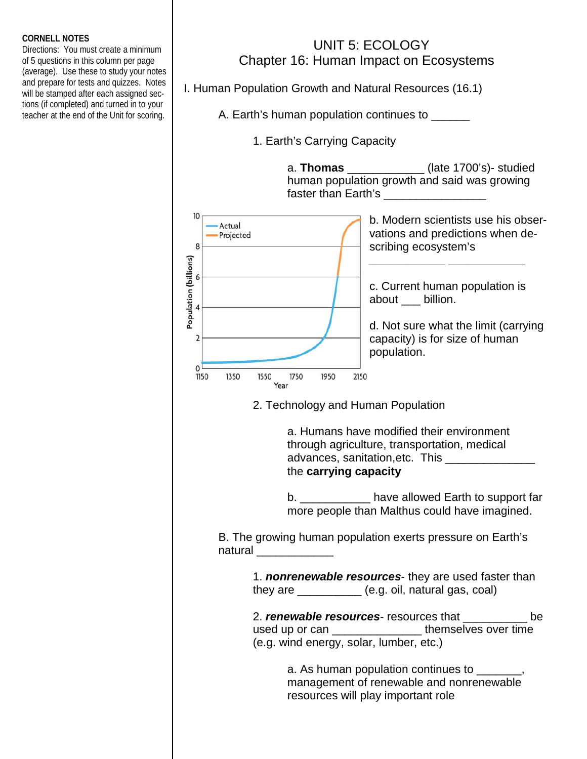## **CORNELL NOTES**

Directions: You must create a minimum of 5 questions in this column per page (average). Use these to study your notes and prepare for tests and quizzes. Notes will be stamped after each assigned sections (if completed) and turned in to your teacher at the end of the Unit for scoring.

## UNIT 5: ECOLOGY Chapter 16: Human Impact on Ecosystems

I. Human Population Growth and Natural Resources (16.1)

A. Earth's human population continues to \_\_\_\_\_\_

1. Earth's Carrying Capacity

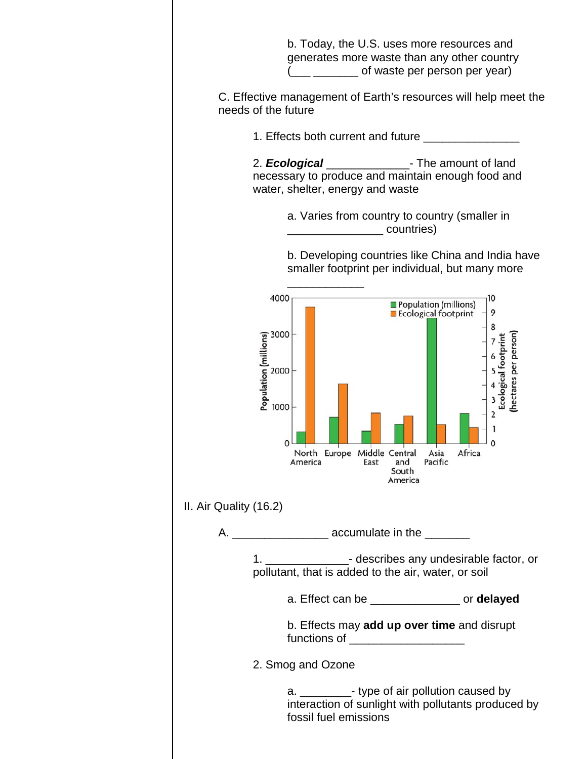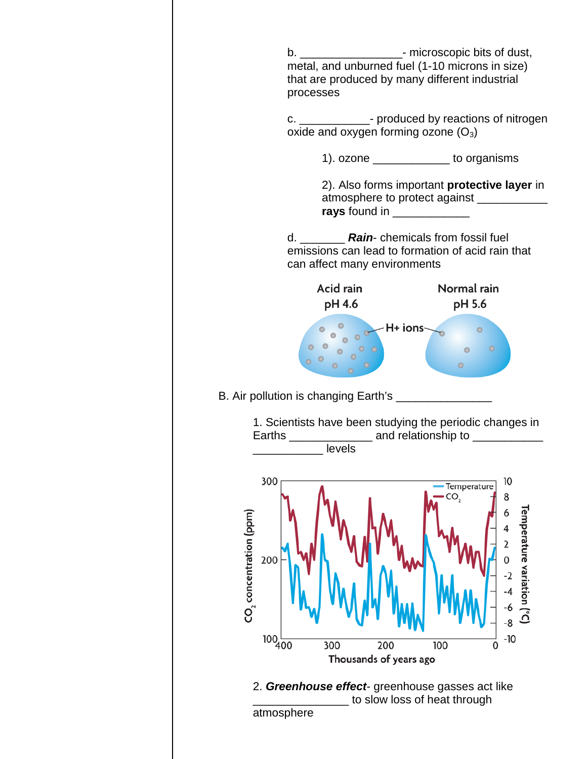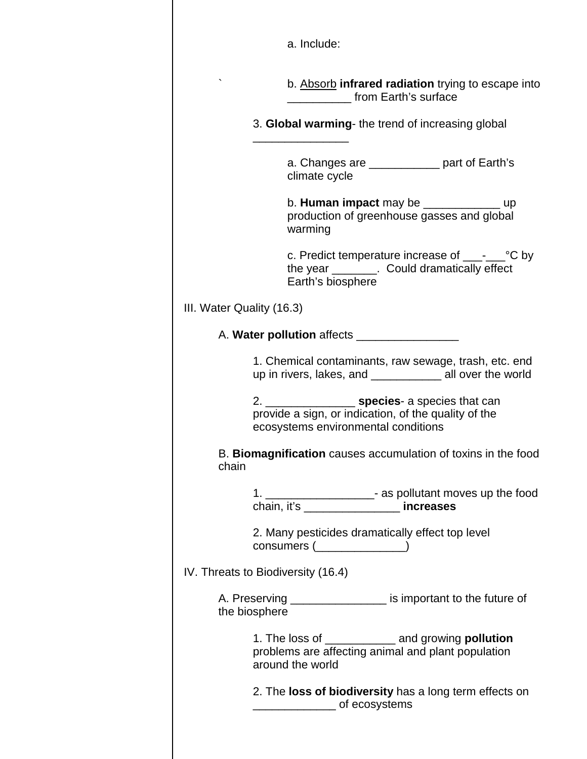|                                                                                | a. Include:                                                                                                                   |  |
|--------------------------------------------------------------------------------|-------------------------------------------------------------------------------------------------------------------------------|--|
|                                                                                | b. Absorb <b>infrared radiation</b> trying to escape into<br>from Earth's surface                                             |  |
|                                                                                | 3. Global warming- the trend of increasing global                                                                             |  |
|                                                                                | a. Changes are ____________ part of Earth's<br>climate cycle                                                                  |  |
|                                                                                | b. Human impact may be _______________________ up<br>production of greenhouse gasses and global<br>warming                    |  |
|                                                                                | c. Predict temperature increase of ________ °C by<br>the year ________. Could dramatically effect<br>Earth's biosphere        |  |
| III. Water Quality (16.3)                                                      |                                                                                                                               |  |
|                                                                                |                                                                                                                               |  |
|                                                                                | 1. Chemical contaminants, raw sewage, trash, etc. end<br>up in rivers, lakes, and ________________ all over the world         |  |
|                                                                                | provide a sign, or indication, of the quality of the<br>ecosystems environmental conditions                                   |  |
| B. Biomagnification causes accumulation of toxins in the food<br>chain         |                                                                                                                               |  |
|                                                                                | 1. ______________________- as pollutant moves up the food<br>chain, it's ___________________ increases                        |  |
|                                                                                | 2. Many pesticides dramatically effect top level                                                                              |  |
| IV. Threats to Biodiversity (16.4)                                             |                                                                                                                               |  |
| A. Preserving _________________ is important to the future of<br>the biosphere |                                                                                                                               |  |
|                                                                                | 1. The loss of ______________ and growing pollution<br>problems are affecting animal and plant population<br>around the world |  |
|                                                                                | 2. The loss of biodiversity has a long term effects on<br>of ecosystems                                                       |  |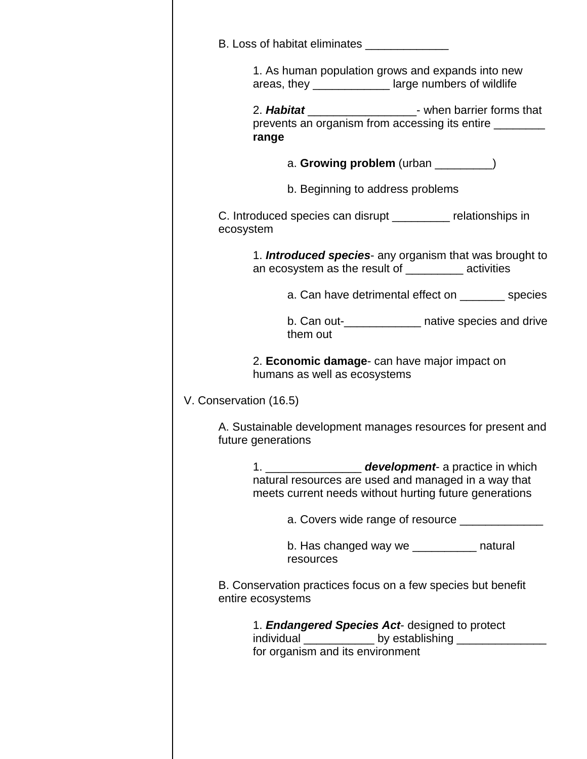|           | 1. As human population grows and expands into new<br>areas, they ______________ large numbers of wildlife                                  |
|-----------|--------------------------------------------------------------------------------------------------------------------------------------------|
|           | 2. Habitat _______________________- when barrier forms that<br>prevents an organism from accessing its entire _________<br>range           |
|           | a. Growing problem (urban ________)                                                                                                        |
|           | b. Beginning to address problems                                                                                                           |
| ecosystem | C. Introduced species can disrupt __________ relationships in                                                                              |
|           | 1. Introduced species- any organism that was brought to<br>an ecosystem as the result of ___________ activities                            |
|           | a. Can have detrimental effect on ________ species                                                                                         |
|           | b. Can out-<br><u> Letting matrice</u> species and drive<br>them out                                                                       |
|           | 2. Economic damage- can have major impact on<br>humans as well as ecosystems                                                               |
|           | V. Conservation (16.5)                                                                                                                     |
|           | A. Sustainable development manages resources for present and<br>future generations                                                         |
|           | natural resources are used and managed in a way that<br>meets current needs without hurting future generations                             |
|           | a. Covers wide range of resource _____________                                                                                             |
|           | b. Has changed way we hatural<br>resources                                                                                                 |
|           | B. Conservation practices focus on a few species but benefit<br>entire ecosystems                                                          |
|           | 1. Endangered Species Act- designed to protect<br>individual _____________ by establishing ___________<br>for organism and its environment |